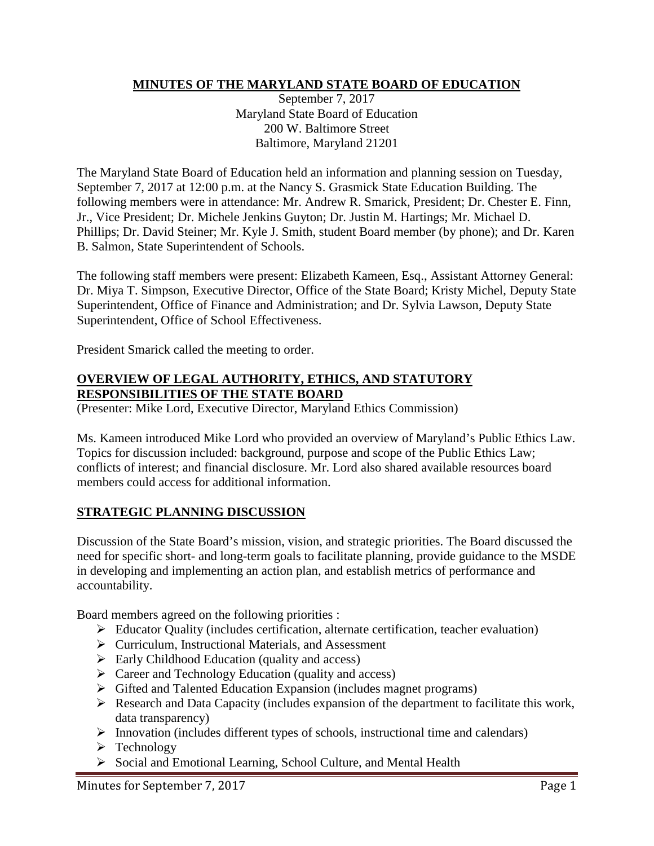## **MINUTES OF THE MARYLAND STATE BOARD OF EDUCATION**

September 7, 2017 Maryland State Board of Education 200 W. Baltimore Street Baltimore, Maryland 21201

The Maryland State Board of Education held an information and planning session on Tuesday, September 7, 2017 at 12:00 p.m. at the Nancy S. Grasmick State Education Building. The following members were in attendance: Mr. Andrew R. Smarick, President; Dr. Chester E. Finn, Jr., Vice President; Dr. Michele Jenkins Guyton; Dr. Justin M. Hartings; Mr. Michael D. Phillips; Dr. David Steiner; Mr. Kyle J. Smith, student Board member (by phone); and Dr. Karen B. Salmon, State Superintendent of Schools.

The following staff members were present: Elizabeth Kameen, Esq., Assistant Attorney General: Dr. Miya T. Simpson, Executive Director, Office of the State Board; Kristy Michel, Deputy State Superintendent, Office of Finance and Administration; and Dr. Sylvia Lawson, Deputy State Superintendent, Office of School Effectiveness.

President Smarick called the meeting to order.

#### **OVERVIEW OF LEGAL AUTHORITY, ETHICS, AND STATUTORY RESPONSIBILITIES OF THE STATE BOARD**

(Presenter: Mike Lord, Executive Director, Maryland Ethics Commission)

Ms. Kameen introduced Mike Lord who provided an overview of Maryland's Public Ethics Law. Topics for discussion included: background, purpose and scope of the Public Ethics Law; conflicts of interest; and financial disclosure. Mr. Lord also shared available resources board members could access for additional information.

#### **STRATEGIC PLANNING DISCUSSION**

Discussion of the State Board's mission, vision, and strategic priorities. The Board discussed the need for specific short- and long-term goals to facilitate planning, provide guidance to the MSDE in developing and implementing an action plan, and establish metrics of performance and accountability.

Board members agreed on the following priorities :

- $\triangleright$  Educator Quality (includes certification, alternate certification, teacher evaluation)
- Curriculum, Instructional Materials, and Assessment
- $\triangleright$  Early Childhood Education (quality and access)
- $\triangleright$  Career and Technology Education (quality and access)
- $\triangleright$  Gifted and Talented Education Expansion (includes magnet programs)
- $\triangleright$  Research and Data Capacity (includes expansion of the department to facilitate this work, data transparency)
- $\triangleright$  Innovation (includes different types of schools, instructional time and calendars)
- $\triangleright$  Technology
- Social and Emotional Learning, School Culture, and Mental Health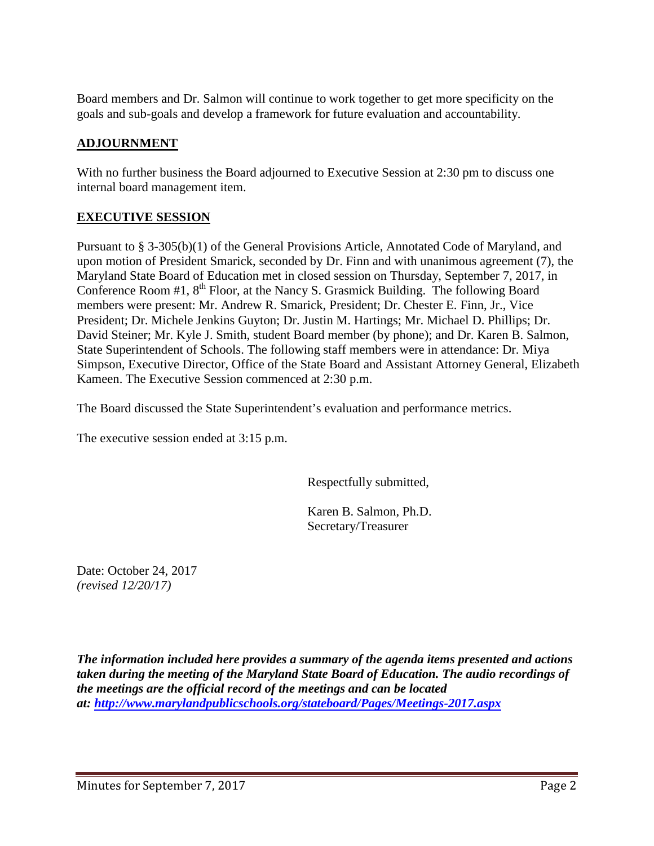Board members and Dr. Salmon will continue to work together to get more specificity on the goals and sub-goals and develop a framework for future evaluation and accountability.

## **ADJOURNMENT**

With no further business the Board adjourned to Executive Session at 2:30 pm to discuss one internal board management item.

## **EXECUTIVE SESSION**

Pursuant to § 3-305(b)(1) of the General Provisions Article, Annotated Code of Maryland, and upon motion of President Smarick, seconded by Dr. Finn and with unanimous agreement (7), the Maryland State Board of Education met in closed session on Thursday, September 7, 2017, in Conference Room #1, 8<sup>th</sup> Floor, at the Nancy S. Grasmick Building. The following Board members were present: Mr. Andrew R. Smarick, President; Dr. Chester E. Finn, Jr., Vice President; Dr. Michele Jenkins Guyton; Dr. Justin M. Hartings; Mr. Michael D. Phillips; Dr. David Steiner; Mr. Kyle J. Smith, student Board member (by phone); and Dr. Karen B. Salmon, State Superintendent of Schools. The following staff members were in attendance: Dr. Miya Simpson, Executive Director, Office of the State Board and Assistant Attorney General, Elizabeth Kameen. The Executive Session commenced at 2:30 p.m.

The Board discussed the State Superintendent's evaluation and performance metrics.

The executive session ended at 3:15 p.m.

Respectfully submitted,

Karen B. Salmon, Ph.D. Secretary/Treasurer

Date: October 24, 2017 *(revised 12/20/17)*

*The information included here provides a summary of the agenda items presented and actions taken during the meeting of the Maryland State Board of Education. The audio recordings of the meetings are the official record of the meetings and can be located at:<http://www.marylandpublicschools.org/stateboard/Pages/Meetings-2017.aspx>*